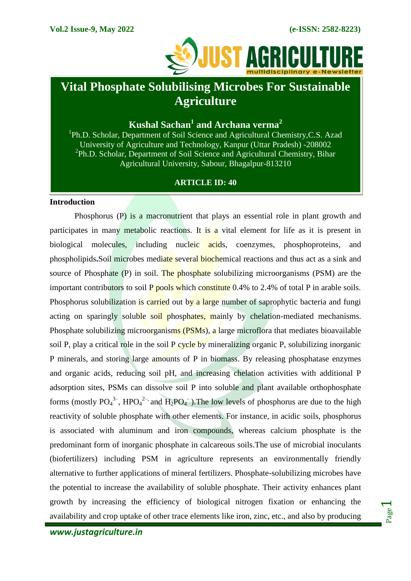

# **Vital Phosphate Solubilising Microbes For Sustainable Agriculture**

## **Kushal Sachan<sup>1</sup> and Archana verma<sup>2</sup>**

<sup>1</sup>Ph.D. Scholar, Department of Soil Science and Agricultural Chemistry, C.S. Azad University of Agriculture and Technology, Kanpur (Uttar Pradesh) -208002 <sup>2</sup>Ph.D. Scholar, Department of Soil Science and Agricultural Chemistry, Bihar Agricultural University, Sabour, Bhagalpur-813210

### **ARTICLE ID: 40**

#### **Introduction**

Phosphorus (P) is a macronutrient that plays an essential role in plant growth and participates in many metabolic reactions. It is a vital element for life as it is present in biological molecules, including nucleic acids, coenzymes, phosphoproteins, and phospholipids**.**Soil microbes mediate several biochemical reactions and thus act as a sink and source of Phosphate (P) in soil. The phosphate solubilizing microorganisms (PSM) are the important contributors to soil  $P$  pools which constitute 0.4% to 2.4% of total P in arable soils. Phosphorus solubilization is carried out by a large number of saprophytic bacteria and fungi acting on sparingly soluble soil phosphates, mainly by chelation-mediated mechanisms. Phosphate solubilizing microorganisms (PSMs), a large microflora that mediates bioavailable soil P, play a critical role in the soil P cycle by mineralizing organic P, solubilizing inorganic P minerals, and storing large amounts of P in biomass. By releasing phosphatase enzymes and organic acids, reducing soil pH, and increasing chelation activities with additional P adsorption sites, PSMs can dissolve soil P into soluble and plant available orthophosphate forms (mostly  $PO_4^{3-}$ , HPO<sub>4</sub><sup>2-</sup>, and H<sub>2</sub>PO<sub>4</sub><sup>-</sup>). The low levels of phosphorus are due to the high reactivity of soluble phosphate with other elements. For instance, in acidic soils, phosphorus is associated with aluminum and iron compounds, whereas calcium phosphate is the predominant form of inorganic phosphate in calcareous soils.The use of microbial inoculants (biofertilizers) including PSM in agriculture represents an environmentally friendly alternative to further applications of mineral fertilizers. Phosphate-solubilizing microbes have the potential to increase the availability of soluble phosphate. Their activity enhances plant growth by increasing the efficiency of biological nitrogen fixation or enhancing the availability and crop uptake of other trace elements like iron, zinc, etc., and also by producing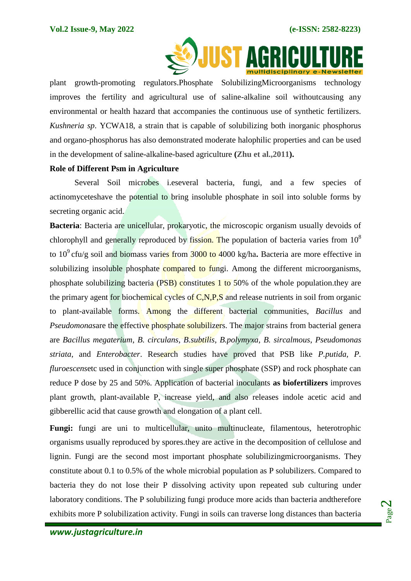

plant growth-promoting regulators.Phosphate SolubilizingMicroorganisms technology improves the fertility and agricultural use of saline-alkaline soil withoutcausing any environmental or health hazard that accompanies the continuous use of synthetic fertilizers. *Kushneria sp*. YCWA18, a strain that is capable of solubilizing both inorganic phosphorus and organo-phosphorus has also demonstrated moderate halophilic properties and can be used in the development of saline-alkaline-based agriculture **(Zhu et al.,2011).**

#### **Role of Different Psm in Agriculture**

Several Soil microbes i.eseveral bacteria, fungi, and a few species of actinomyceteshave the potential to bring insoluble phosphate in soil into soluble forms by secreting organic acid.

**Bacteria**: Bacteria are unicellular, prokaryotic, the microscopic organism usually devoids of chlorophyll and generally reproduced by fission. The population of bacteria varies from  $10^8$ to 10<sup>9</sup> cfu/g soil and biomass varies from 3000 to 4000 kg/ha. Bacteria are more effective in solubilizing insoluble phosphate compared to fungi. Among the different microorganisms, phosphate solubilizing bacteria (PSB) constitutes 1 to 50% of the whole population.they are the primary agent for biochemical cycles of  $C, N, P, S$  and release nutrients in soil from organic to plant-available forms. Among the different bacterial communities, *Bacillus* and *Pseudomonasi*are the effective phosphate solubilizers. The major strains from bacterial genera are *Bacillus megaterium*, *B. circulans*, *B.subtilis, B.polymyxa, B. sircalmous*, *Pseudomonas striata*, and *Enterobacter*. Research studies have proved that PSB like *P.putida, P. fluroescensetc* used in conjunction with single super phosphate (SSP) and rock phosphate can reduce P dose by 25 and 50%. Application of bacterial inoculants **as biofertilizers** improves plant growth, plant-available P, increase yield, and also releases indole acetic acid and gibberellic acid that cause growth and elongation of a plant cell.

**Fungi:** fungi are uni to multicellular, unito multinucleate, filamentous, heterotrophic organisms usually reproduced by spores.they are active in the decomposition of cellulose and lignin. Fungi are the second most important phosphate solubilizingmicroorganisms. They constitute about 0.1 to 0.5% of the whole microbial population as P solubilizers. Compared to bacteria they do not lose their P dissolving activity upon repeated sub culturing under laboratory conditions. The P solubilizing fungi produce more acids than bacteria andtherefore exhibits more P solubilization activity. Fungi in soils can traverse long distances than bacteria

Page  $\boldsymbol{\sim}$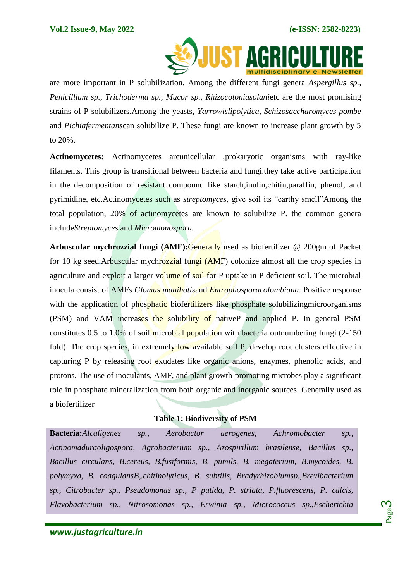

are more important in P solubilization. Among the different fungi genera *Aspergillus sp., Penicillium sp., Trichoderma sp., Mucor sp., Rhizocotoniasolani*etc are the most promising strains of P solubilizers.Among the yeasts, *Yarrowislipolytica*, *Schizosaccharomyces pombe*  and *Pichiafermentans*can solubilize P. These fungi are known to increase plant growth by 5 to 20%.

**Actinomycetes:** Actinomycetes areunicellular ,prokaryotic organisms with ray-like filaments. This group is transitional between bacteria and fungi.they take active participation in the decomposition of resistant compound like starch,inulin,chitin,paraffin, phenol, and pyrimidine, etc.Actinomycetes such as *streptomyces*, give soil its "earthy smell"Among the total population, 20% of actinomycetes are known to solubilize P. the common genera include*Streptomyces* and *Micromonospora.*

**Arbuscular mychrozzial fungi (AMF):**Generally used as biofertilizer @ 200gm of Packet for 10 kg seed**.**Arbuscular mychrozzial fungi (AMF) colonize almost all the crop species in agriculture and exploit a larger volume of soil for P uptake in P deficient soil. The microbial inocula consist of AMFs *Glomus manihotis*and *Entrophosporacolombiana*. Positive response with the application of phosphatic biofertilizers like phosphate solubilizing microorganisms (PSM) and VAM increases the solubility of nativeP and applied P. In general PSM constitutes 0.5 to 1.0% of soil microbial population with bacteria outnumbering fungi (2-150 fold). The crop species, in extremely low available soil P, develop root clusters effective in capturing P by releasing root exudates like organic anions, enzymes, phenolic acids, and protons. The use of inoculants, AMF, and plant growth-promoting microbes play a significant role in phosphate mineralization from both organic and inorganic sources. Generally used as a biofertilizer

## **Table 1: Biodiversity of PSM**

**Bacteria:***Alcaligenes sp., Aerobactor aerogenes, Achromobacter sp., Actinomaduraoligospora, Agrobacterium sp., Azospirillum brasilense, Bacillus sp., Bacillus circulans, B.cereus, B.fusiformis, B. pumils, B. megaterium, B.mycoides, B. polymyxa, B. coagulansB,.chitinolyticus, B. subtilis, Bradyrhizobiumsp.,Brevibacterium sp., Citrobacter sp., Pseudomonas sp., P putida, P. striata, P.fluorescens, P. calcis, Flavobacterium sp., Nitrosomonas sp., Erwinia sp., Micrococcus sp.,Escherichia*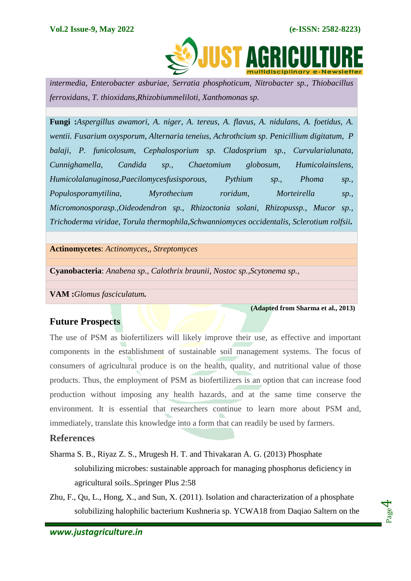

 *intermedia, Enterobacter asburiae, Serratia phosphoticum, Nitrobacter sp., Thiobacillus ferroxidans, T. thioxidans,Rhizobiummeliloti, Xanthomonas sp.*

**Fungi :***Aspergillus awamori, A. niger, A. tereus, A. flavus, A. nidulans, A. foetidus, A. wentii. Fusarium oxysporum, Alternaria teneius, Achrothcium sp. Penicillium digitatum, P balaji, P. funicolosum, Cephalosporium sp. Cladosprium sp., Curvularialunata, Cunnighamella, Candida sp., Chaetomium globosum, Humicolainslens, Humicolalanuginosa,Paecilomycesfusisporous, Pythium sp., Phoma sp., Populosporamytilina, Myrothecium roridum, Morteirella sp., Micromonosporasp.,Oideodendron sp., Rhizoctonia solani, Rhizopussp., Mucor sp., Trichoderma viridae, Torula thermophila,Schwanniomyces occidentalis, Sclerotium rolfsii.*

**Actinomycetes**: *Actinomyces,, Streptomyces*

**Cyanobacteria**: *Anabena sp., Calothrix braunii, Nostoc sp.,Scytonema sp.,*

**VAM :***Glomus fasciculatum.*

 **(Adapted from Sharma et al., 2013)**

Page  $\overline{\bf 4}$ 

## **Future Prospects**

The use of PSM as biofertilizers will likely improve their use, as effective and important components in the establishment of sustainable soil management systems. The focus of consumers of agricultural produce is on the health, quality, and nutritional value of those products. Thus, the employment of PSM as biofertilizers is an option that can increase food production without imposing any health hazards, and at the same time conserve the environment. It is essential that researchers continue to learn more about PSM and, immediately, translate this knowledge into a form that can readily be used by farmers.

## **References**

- Sharma S. B., Riyaz Z. S., Mrugesh H. T. and Thivakaran A. G. (2013) Phosphate solubilizing microbes: sustainable approach for managing phosphorus deficiency in agricultural soils..Springer Plus 2:58
- Zhu, F., Qu, L., Hong, X., and Sun, X. (2011). Isolation and characterization of a phosphate solubilizing halophilic bacterium Kushneria sp. YCWA18 from Daqiao Saltern on the